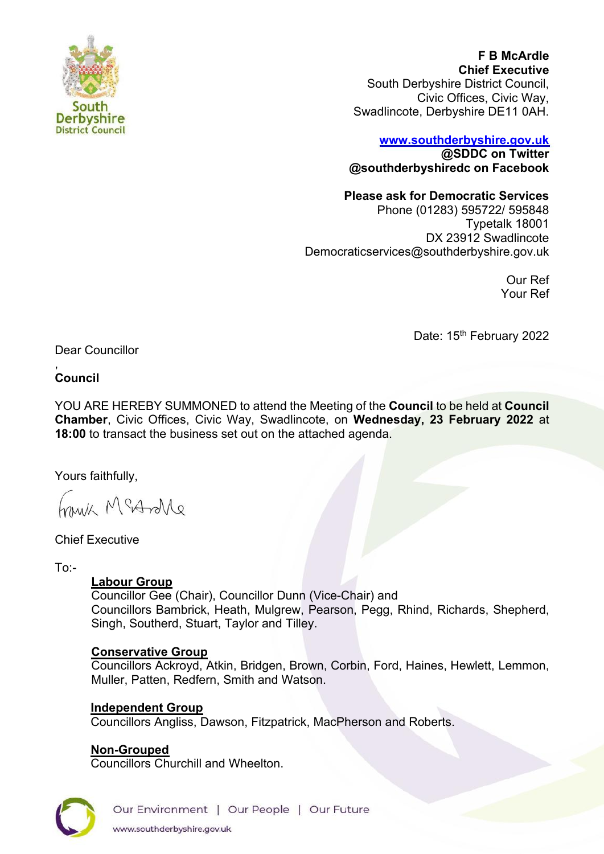

**F B McArdle Chief Executive** South Derbyshire District Council, Civic Offices, Civic Way, Swadlincote, Derbyshire DE11 0AH.

# **[www.southderbyshire.gov.uk](http://www.southderbyshire.gov.uk/) @SDDC on Twitter**

**@southderbyshiredc on Facebook**

#### **Please ask for Democratic Services**

Phone (01283) 595722/ 595848 Typetalk 18001 DX 23912 Swadlincote Democraticservices@southderbyshire.gov.uk

> Our Ref Your Ref

Date: 15<sup>th</sup> February 2022

Dear Councillor

, **Council**

YOU ARE HEREBY SUMMONED to attend the Meeting of the **Council** to be held at **Council Chamber**, Civic Offices, Civic Way, Swadlincote, on **Wednesday, 23 February 2022** at **18:00** to transact the business set out on the attached agenda.

Yours faithfully,

frank McArolle

Chief Executive

To:-

## **Labour Group**

Councillor Gee (Chair), Councillor Dunn (Vice-Chair) and Councillors Bambrick, Heath, Mulgrew, Pearson, Pegg, Rhind, Richards, Shepherd, Singh, Southerd, Stuart, Taylor and Tilley.

## **Conservative Group**

Councillors Ackroyd, Atkin, Bridgen, Brown, Corbin, Ford, Haines, Hewlett, Lemmon, Muller, Patten, Redfern, Smith and Watson.

## **Independent Group**

Councillors Angliss, Dawson, Fitzpatrick, MacPherson and Roberts.

## **Non-Grouped**

Councillors Churchill and Wheelton.

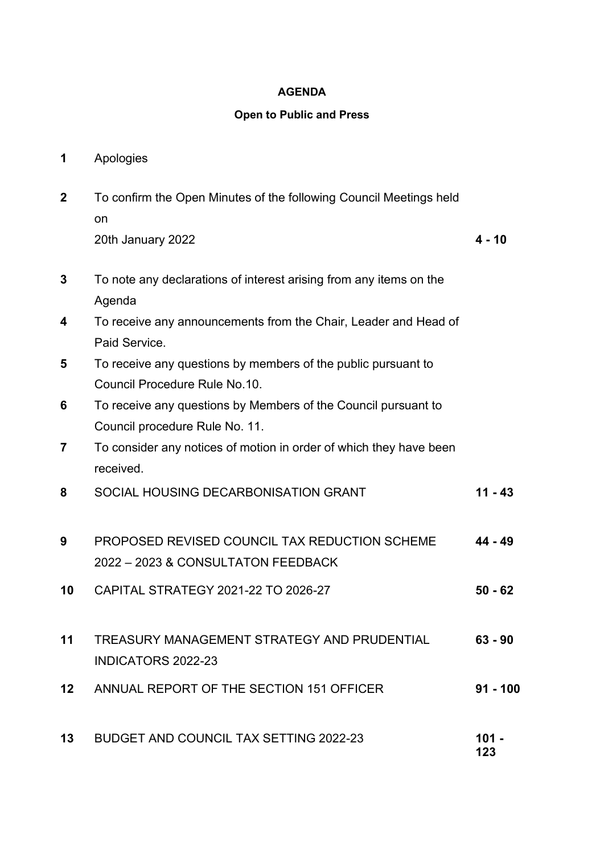#### **AGENDA**

#### **Open to Public and Press**

- **1** Apologies
- **2** To confirm the Open Minutes of the following Council Meetings held on 20th January 2022 **4 - 10**
- **3** To note any declarations of interest arising from any items on the Agenda
- **4** To receive any announcements from the Chair, Leader and Head of Paid Service.
- **5** To receive any questions by members of the public pursuant to Council Procedure Rule No.10.
- **6** To receive any questions by Members of the Council pursuant to Council procedure Rule No. 11.
- **7** To consider any notices of motion in order of which they have been received.
- **8** SOCIAL HOUSING DECARBONISATION GRANT **11 43**
- **9** PROPOSED REVISED COUNCIL TAX REDUCTION SCHEME 2022 – 2023 & CONSULTATON FEEDBACK **44 - 49**
- **10** CAPITAL STRATEGY 2021-22 TO 2026-27 **50 62**
- **11** TREASURY MANAGEMENT STRATEGY AND PRUDENTIAL INDICATORS 2022-23 **63 - 90**
- **12** ANNUAL REPORT OF THE SECTION 151 OFFICER **91 100**
- **13** BUDGET AND COUNCIL TAX SETTING 2022-23 **101 123**